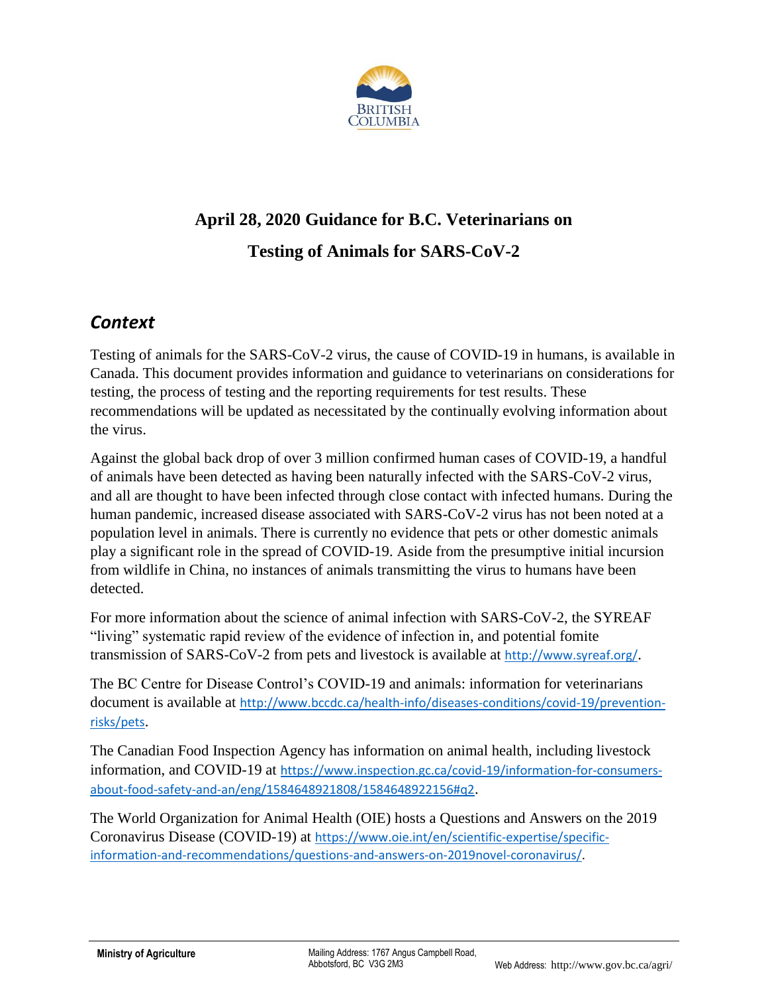

# **April 28, 2020 Guidance for B.C. Veterinarians on Testing of Animals for SARS-CoV-2**

## *Context*

Testing of animals for the SARS-CoV-2 virus, the cause of COVID-19 in humans, is available in Canada. This document provides information and guidance to veterinarians on considerations for testing, the process of testing and the reporting requirements for test results. These recommendations will be updated as necessitated by the continually evolving information about the virus.

Against the global back drop of over 3 million confirmed human cases of COVID-19, a handful of animals have been detected as having been naturally infected with the SARS-CoV-2 virus, and all are thought to have been infected through close contact with infected humans. During the human pandemic, increased disease associated with SARS-CoV-2 virus has not been noted at a population level in animals. There is currently no evidence that pets or other domestic animals play a significant role in the spread of COVID-19. Aside from the presumptive initial incursion from wildlife in China, no instances of animals transmitting the virus to humans have been detected.

For more information about the science of animal infection with SARS-CoV-2, the SYREAF "living" systematic rapid review of the evidence of infection in, and potential fomite transmission of SARS-CoV-2 from pets and livestock is available at <http://www.syreaf.org/>.

The BC Centre for Disease Control's COVID-19 and animals: information for veterinarians document is available at [http://www.bccdc.ca/health-info/diseases-conditions/covid-19/prevention](http://www.bccdc.ca/health-info/diseases-conditions/covid-19/prevention-risks/pets)[risks/pets](http://www.bccdc.ca/health-info/diseases-conditions/covid-19/prevention-risks/pets).

The Canadian Food Inspection Agency has information on animal health, including livestock information, and COVID-19 at [https://www.inspection.gc.ca/covid-19/information-for-consumers](https://www.inspection.gc.ca/covid-19/information-for-consumers-about-food-safety-and-an/eng/1584648921808/1584648922156#q2)[about-food-safety-and-an/eng/1584648921808/1584648922156#q2](https://www.inspection.gc.ca/covid-19/information-for-consumers-about-food-safety-and-an/eng/1584648921808/1584648922156#q2).

The World Organization for Animal Health (OIE) hosts a Questions and Answers on the 2019 Coronavirus Disease (COVID-19) at [https://www.oie.int/en/scientific-expertise/specific](https://www.oie.int/en/scientific-expertise/specific-information-and-recommendations/questions-and-answers-on-2019novel-coronavirus/)[information-and-recommendations/questions-and-answers-on-2019novel-coronavirus/.](https://www.oie.int/en/scientific-expertise/specific-information-and-recommendations/questions-and-answers-on-2019novel-coronavirus/)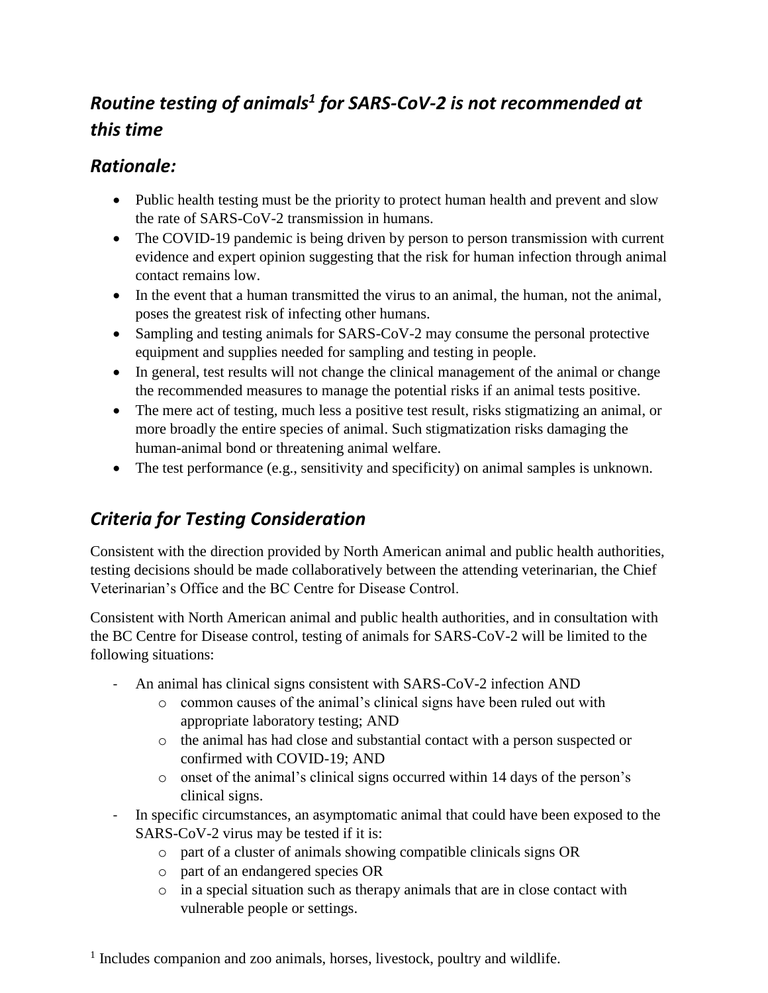## *Routine testing of animals<sup>1</sup> for SARS-CoV-2 is not recommended at this time*

## *Rationale:*

- Public health testing must be the priority to protect human health and prevent and slow the rate of SARS-CoV-2 transmission in humans.
- The COVID-19 pandemic is being driven by person to person transmission with current evidence and expert opinion suggesting that the risk for human infection through animal contact remains low.
- In the event that a human transmitted the virus to an animal, the human, not the animal, poses the greatest risk of infecting other humans.
- Sampling and testing animals for SARS-CoV-2 may consume the personal protective equipment and supplies needed for sampling and testing in people.
- In general, test results will not change the clinical management of the animal or change the recommended measures to manage the potential risks if an animal tests positive.
- The mere act of testing, much less a positive test result, risks stigmatizing an animal, or more broadly the entire species of animal. Such stigmatization risks damaging the human-animal bond or threatening animal welfare.
- The test performance (e.g., sensitivity and specificity) on animal samples is unknown.

## *Criteria for Testing Consideration*

Consistent with the direction provided by North American animal and public health authorities, testing decisions should be made collaboratively between the attending veterinarian, the Chief Veterinarian's Office and the BC Centre for Disease Control.

Consistent with North American animal and public health authorities, and in consultation with the BC Centre for Disease control, testing of animals for SARS-CoV-2 will be limited to the following situations:

- An animal has clinical signs consistent with SARS-CoV-2 infection AND
	- o common causes of the animal's clinical signs have been ruled out with appropriate laboratory testing; AND
	- o the animal has had close and substantial contact with a person suspected or confirmed with COVID-19; AND
	- o onset of the animal's clinical signs occurred within 14 days of the person's clinical signs.
- In specific circumstances, an asymptomatic animal that could have been exposed to the SARS-CoV-2 virus may be tested if it is:
	- o part of a cluster of animals showing compatible clinicals signs OR
	- o part of an endangered species OR
	- o in a special situation such as therapy animals that are in close contact with vulnerable people or settings.

<sup>1</sup> Includes companion and zoo animals, horses, livestock, poultry and wildlife.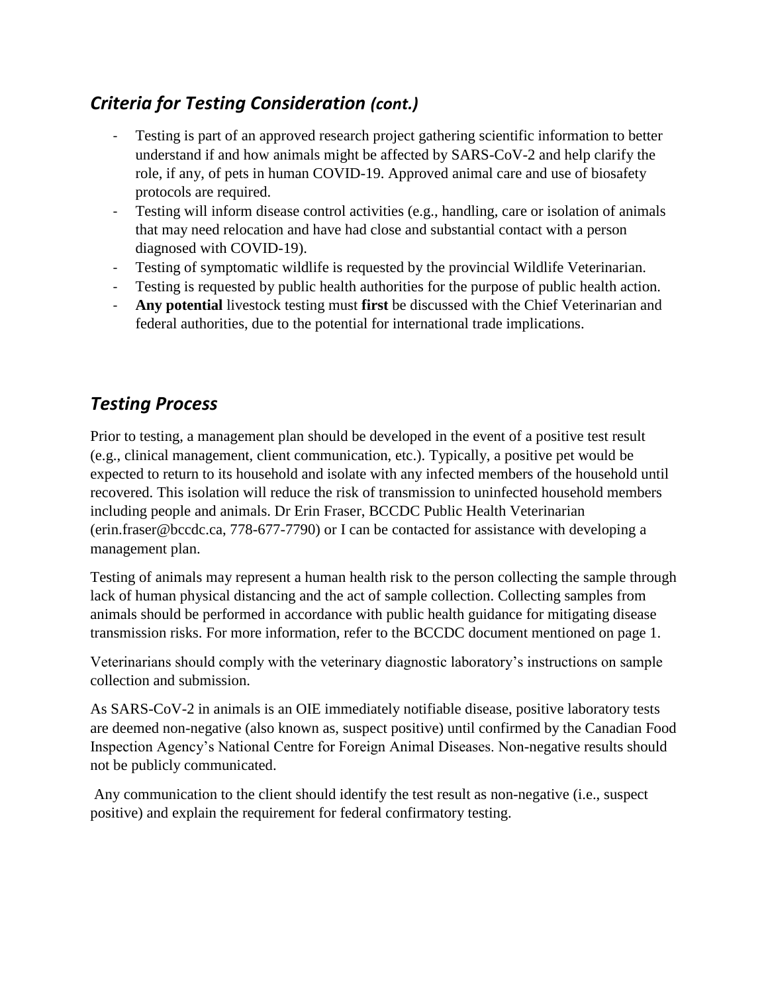## *Criteria for Testing Consideration (cont.)*

- Testing is part of an approved research project gathering scientific information to better understand if and how animals might be affected by SARS-CoV-2 and help clarify the role, if any, of pets in human COVID-19. Approved animal care and use of biosafety protocols are required.
- Testing will inform disease control activities (e.g., handling, care or isolation of animals that may need relocation and have had close and substantial contact with a person diagnosed with COVID-19).
- Testing of symptomatic wildlife is requested by the provincial Wildlife Veterinarian.
- Testing is requested by public health authorities for the purpose of public health action.
- **Any potential** livestock testing must **first** be discussed with the Chief Veterinarian and federal authorities, due to the potential for international trade implications.

## *Testing Process*

Prior to testing, a management plan should be developed in the event of a positive test result (e.g., clinical management, client communication, etc.). Typically, a positive pet would be expected to return to its household and isolate with any infected members of the household until recovered. This isolation will reduce the risk of transmission to uninfected household members including people and animals. Dr Erin Fraser, BCCDC Public Health Veterinarian (erin.fraser*@*bccdc.ca, 778-677-7790) or I can be contacted for assistance with developing a management plan.

Testing of animals may represent a human health risk to the person collecting the sample through lack of human physical distancing and the act of sample collection. Collecting samples from animals should be performed in accordance with public health guidance for mitigating disease transmission risks. For more information, refer to the BCCDC document mentioned on page 1.

Veterinarians should comply with the veterinary diagnostic laboratory's instructions on sample collection and submission.

As SARS-CoV-2 in animals is an OIE immediately notifiable disease, positive laboratory tests are deemed non-negative (also known as, suspect positive) until confirmed by the Canadian Food Inspection Agency's National Centre for Foreign Animal Diseases. Non-negative results should not be publicly communicated.

Any communication to the client should identify the test result as non-negative (i.e., suspect positive) and explain the requirement for federal confirmatory testing.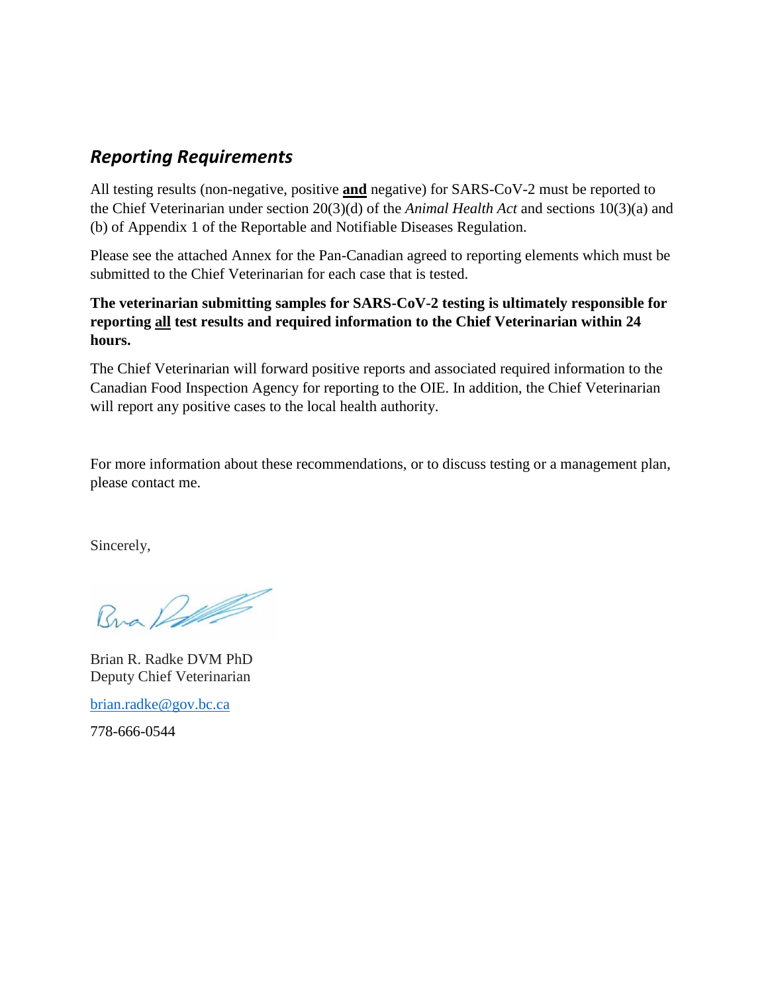### *Reporting Requirements*

All testing results (non-negative, positive **and** negative) for SARS-CoV-2 must be reported to the Chief Veterinarian under section 20(3)(d) of the *Animal Health Act* and sections 10(3)(a) and (b) of Appendix 1 of the Reportable and Notifiable Diseases Regulation.

Please see the attached Annex for the Pan-Canadian agreed to reporting elements which must be submitted to the Chief Veterinarian for each case that is tested.

#### **The veterinarian submitting samples for SARS-CoV-2 testing is ultimately responsible for reporting all test results and required information to the Chief Veterinarian within 24 hours.**

The Chief Veterinarian will forward positive reports and associated required information to the Canadian Food Inspection Agency for reporting to the OIE. In addition, the Chief Veterinarian will report any positive cases to the local health authority.

For more information about these recommendations, or to discuss testing or a management plan, please contact me.

Sincerely,

Bra Rom

Brian R. Radke DVM PhD Deputy Chief Veterinarian

[brian.radke@gov.bc.ca](mailto:brian.radke@gov.bc.ca)

778-666-0544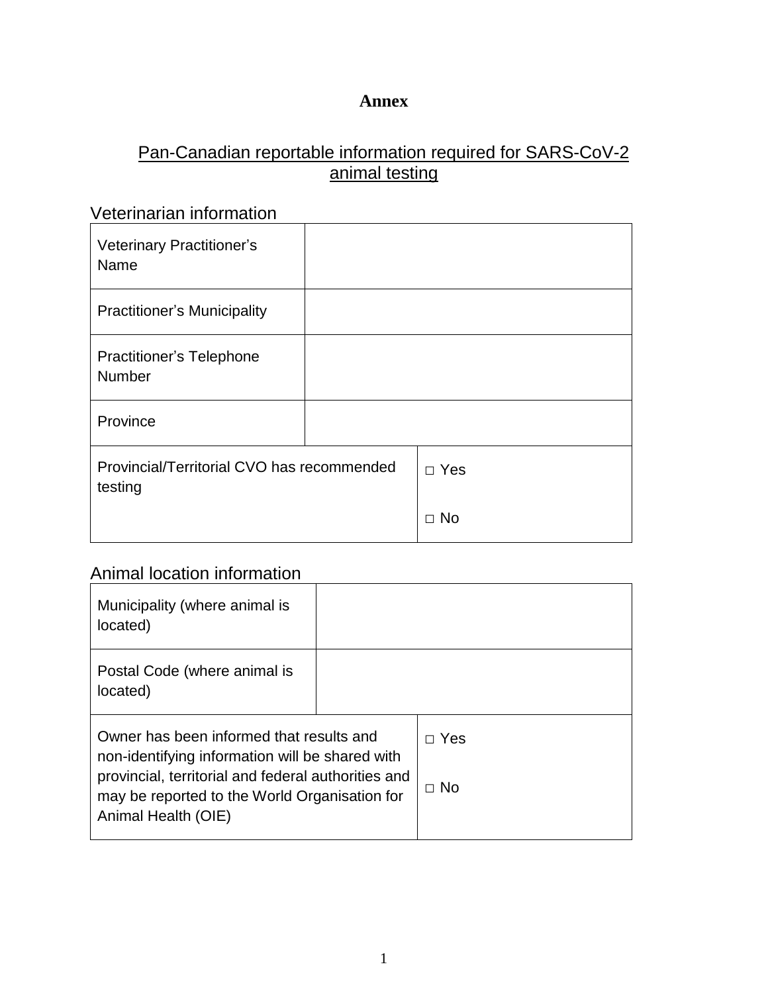### **Annex**

### Pan-Canadian reportable information required for SARS-CoV-2 animal testing

### Veterinarian information

| <b>Veterinary Practitioner's</b><br>Name              |  |            |
|-------------------------------------------------------|--|------------|
| <b>Practitioner's Municipality</b>                    |  |            |
| <b>Practitioner's Telephone</b><br><b>Number</b>      |  |            |
| Province                                              |  |            |
| Provincial/Territorial CVO has recommended<br>testing |  | $\Box$ Yes |
|                                                       |  | $\Box$ No  |

### Animal location information

| Municipality (where animal is<br>located)                                                                                                                                                                                  |  |                         |
|----------------------------------------------------------------------------------------------------------------------------------------------------------------------------------------------------------------------------|--|-------------------------|
| Postal Code (where animal is<br>located)                                                                                                                                                                                   |  |                         |
| Owner has been informed that results and<br>non-identifying information will be shared with<br>provincial, territorial and federal authorities and<br>may be reported to the World Organisation for<br>Animal Health (OIE) |  | $\Box$ Yes<br>$\Box$ No |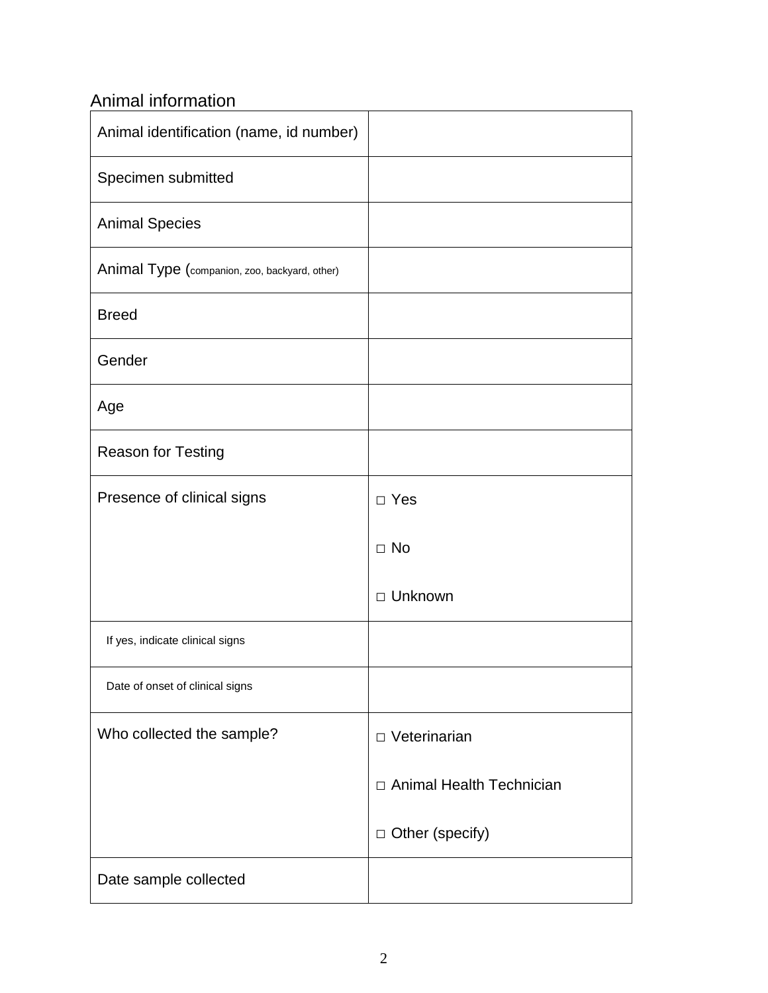## Animal information

| Animal identification (name, id number)       |                            |
|-----------------------------------------------|----------------------------|
| Specimen submitted                            |                            |
| <b>Animal Species</b>                         |                            |
| Animal Type (companion, zoo, backyard, other) |                            |
| <b>Breed</b>                                  |                            |
| Gender                                        |                            |
| Age                                           |                            |
| <b>Reason for Testing</b>                     |                            |
| Presence of clinical signs                    | $\Box$ Yes                 |
|                                               | $\Box$ No                  |
|                                               | □ Unknown                  |
| If yes, indicate clinical signs               |                            |
| Date of onset of clinical signs               |                            |
| Who collected the sample?                     | $\Box$ Veterinarian        |
|                                               | □ Animal Health Technician |
|                                               | □ Other (specify)          |
| Date sample collected                         |                            |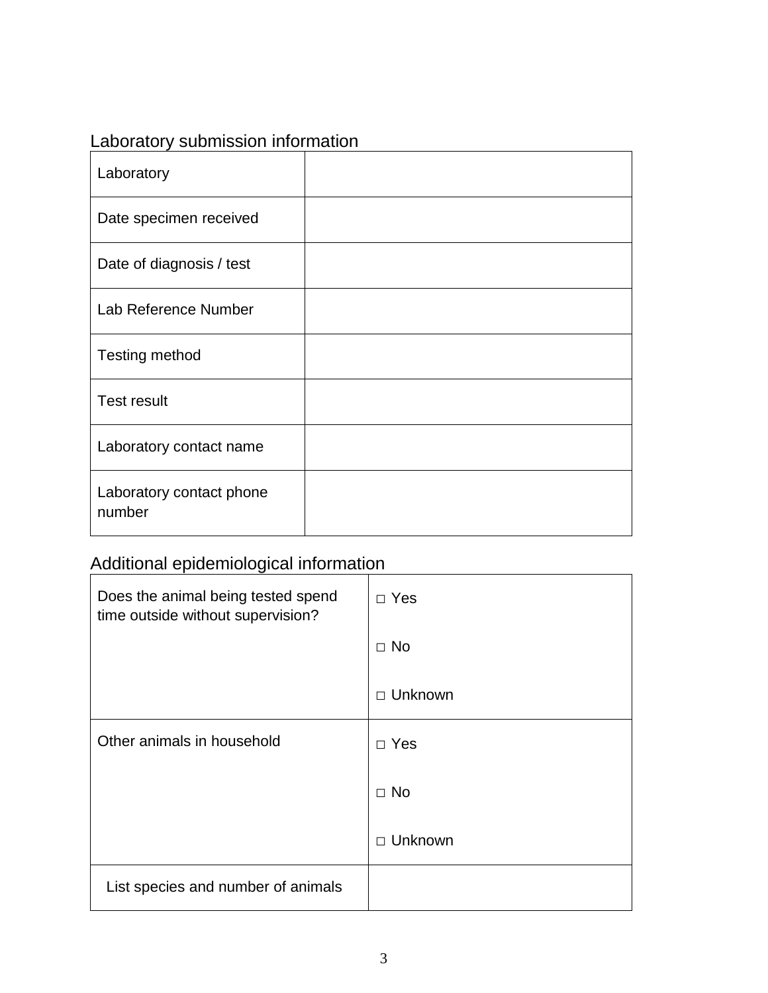## Laboratory submission information

| Laboratory                         |  |
|------------------------------------|--|
| Date specimen received             |  |
| Date of diagnosis / test           |  |
| Lab Reference Number               |  |
| Testing method                     |  |
| <b>Test result</b>                 |  |
| Laboratory contact name            |  |
| Laboratory contact phone<br>number |  |

# Additional epidemiological information

| Does the animal being tested spend<br>time outside without supervision? | $\Box$ Yes     |
|-------------------------------------------------------------------------|----------------|
|                                                                         | $\Box$ No      |
|                                                                         | $\Box$ Unknown |
| Other animals in household                                              | $\Box$ Yes     |
|                                                                         | $\Box$ No      |
|                                                                         | $\Box$ Unknown |
| List species and number of animals                                      |                |